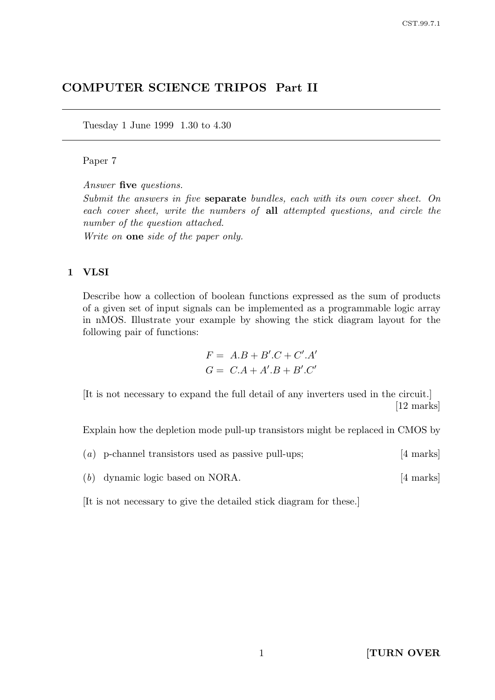# COMPUTER SCIENCE TRIPOS Part II

Tuesday 1 June 1999 1.30 to 4.30

### Paper 7

Answer five questions.

Submit the answers in five separate bundles, each with its own cover sheet. On each cover sheet, write the numbers of all attempted questions, and circle the number of the question attached.

Write on one side of the paper only.

#### 1 VLSI

Describe how a collection of boolean functions expressed as the sum of products of a given set of input signals can be implemented as a programmable logic array in nMOS. Illustrate your example by showing the stick diagram layout for the following pair of functions:

$$
F = A.B + B'.C + C'.A'
$$
  

$$
G = C.A + A'.B + B'.C'
$$

[It is not necessary to expand the full detail of any inverters used in the circuit.] [12 marks]

Explain how the depletion mode pull-up transistors might be replaced in CMOS by

|  | $(a)$ p-channel transistors used as passive pull-ups; |  | [4 marks] |
|--|-------------------------------------------------------|--|-----------|
|  |                                                       |  |           |

(b) dynamic logic based on NORA. [4 marks]

[It is not necessary to give the detailed stick diagram for these.]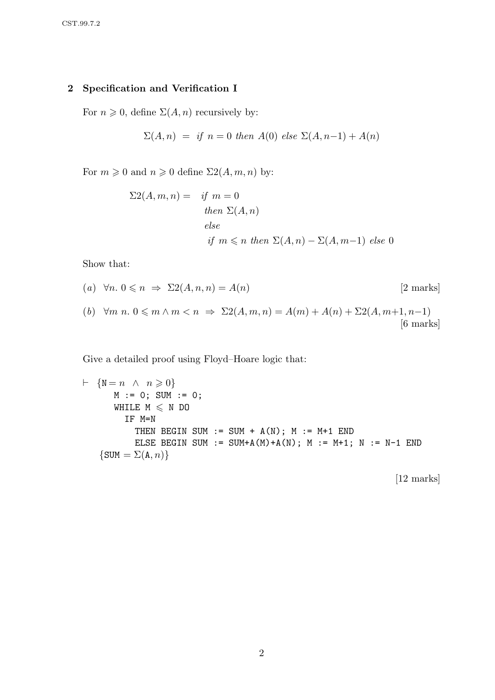# 2 Specification and Verification I

For  $n \geq 0$ , define  $\Sigma(A, n)$  recursively by:

$$
\Sigma(A, n) = if n = 0 then A(0) else \Sigma(A, n-1) + A(n)
$$

For  $m \geq 0$  and  $n \geq 0$  define  $\Sigma( A, m, n )$  by:

$$
\Sigma 2(A, m, n) = \text{if } m = 0
$$
  
then  $\Sigma(A, n)$   
else  
if  $m \le n$  then  $\Sigma(A, n) - \Sigma(A, m-1)$  else 0

Show that:

(a) 
$$
\forall n. 0 \le n \Rightarrow \Sigma2(A, n, n) = A(n)
$$
 [2 marks]  
(b)  $\forall m \ n. 0 \le m \land m < n \Rightarrow \Sigma2(A, m, n) = A(m) + A(n) + \Sigma2(A, m+1, n-1)$  [6 marks]

Give a detailed proof using Floyd–Hoare logic that:

$$
\vdash \{N = n \land n \geqslant 0\}
$$
\n
$$
\begin{aligned}\nM := 0; \text{ SUM} := 0; \\
M & \text{HILE M} \leqslant N \text{ DO} \\
&\text{IF M=N} \\
\text{THEN BEGIN SUM} := \text{SUM} + A(N); \text{ M} := M+1 \text{ END} \\
\text{ELSE BEGIN SUM} := \text{SUM} + A(M) + A(N); \text{ M} := M+1; \text{ N} := N-1 \text{ END}\n\end{aligned}
$$

[12 marks]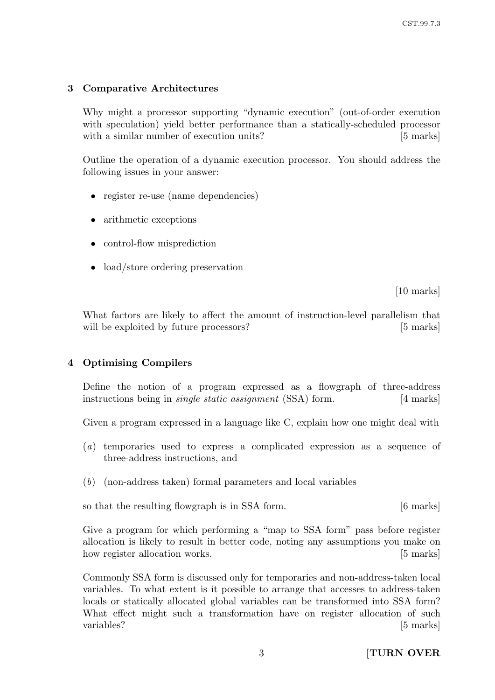## 3 Comparative Architectures

Why might a processor supporting "dynamic execution" (out-of-order execution with speculation) yield better performance than a statically-scheduled processor with a similar number of execution units? [5 marks]

Outline the operation of a dynamic execution processor. You should address the following issues in your answer:

- register re-use (name dependencies)
- arithmetic exceptions
- control-flow misprediction
- load/store ordering preservation

[10 marks]

What factors are likely to affect the amount of instruction-level parallelism that will be exploited by future processors? [5 marks]

### 4 Optimising Compilers

Define the notion of a program expressed as a flowgraph of three-address instructions being in *single static assignment* (SSA) form. [4 marks]

Given a program expressed in a language like C, explain how one might deal with

- (a) temporaries used to express a complicated expression as a sequence of three-address instructions, and
- (b) (non-address taken) formal parameters and local variables

so that the resulting flowgraph is in SSA form. [6 marks]

Give a program for which performing a "map to SSA form" pass before register allocation is likely to result in better code, noting any assumptions you make on how register allocation works. [5 marks]

Commonly SSA form is discussed only for temporaries and non-address-taken local variables. To what extent is it possible to arrange that accesses to address-taken locals or statically allocated global variables can be transformed into SSA form? What effect might such a transformation have on register allocation of such variables? [5 marks]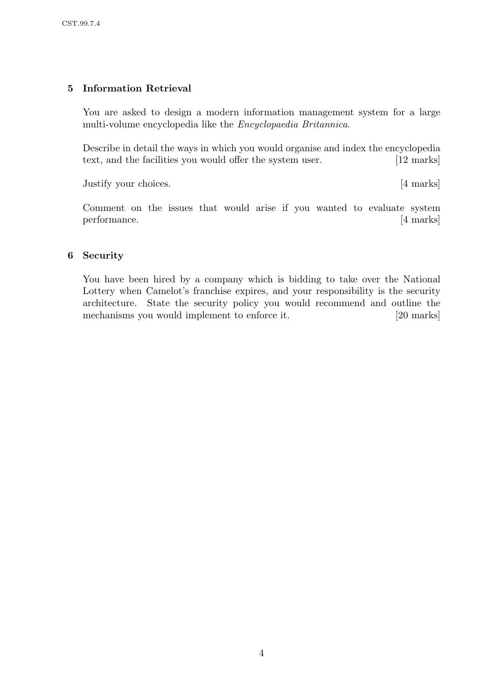## 5 Information Retrieval

You are asked to design a modern information management system for a large multi-volume encyclopedia like the Encyclopaedia Britannica.

Describe in detail the ways in which you would organise and index the encyclopedia text, and the facilities you would offer the system user. [12 marks]

Justify your choices. [4 marks]

Comment on the issues that would arise if you wanted to evaluate system performance. [4 marks]

## 6 Security

You have been hired by a company which is bidding to take over the National Lottery when Camelot's franchise expires, and your responsibility is the security architecture. State the security policy you would recommend and outline the mechanisms you would implement to enforce it. [20 marks]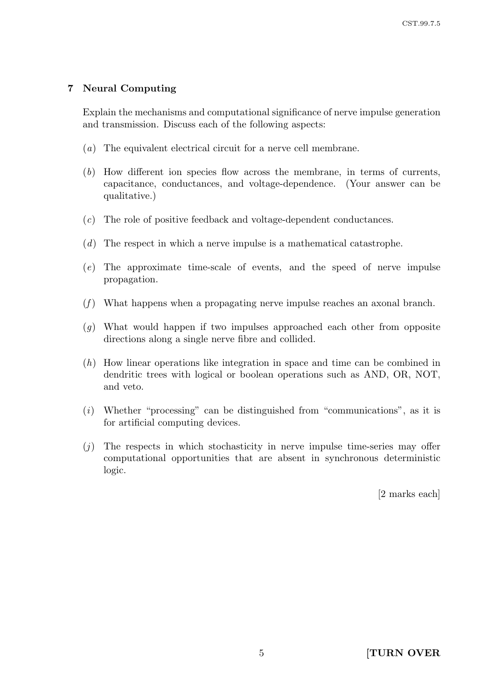### 7 Neural Computing

Explain the mechanisms and computational significance of nerve impulse generation and transmission. Discuss each of the following aspects:

- (a) The equivalent electrical circuit for a nerve cell membrane.
- (b) How different ion species flow across the membrane, in terms of currents, capacitance, conductances, and voltage-dependence. (Your answer can be qualitative.)
- (c) The role of positive feedback and voltage-dependent conductances.
- (d) The respect in which a nerve impulse is a mathematical catastrophe.
- (e) The approximate time-scale of events, and the speed of nerve impulse propagation.
- $(f)$  What happens when a propagating nerve impulse reaches an axonal branch.
- (g) What would happen if two impulses approached each other from opposite directions along a single nerve fibre and collided.
- (h) How linear operations like integration in space and time can be combined in dendritic trees with logical or boolean operations such as AND, OR, NOT, and veto.
- (i) Whether "processing" can be distinguished from "communications", as it is for artificial computing devices.
- $(j)$  The respects in which stochasticity in nerve impulse time-series may offer computational opportunities that are absent in synchronous deterministic logic.

[2 marks each]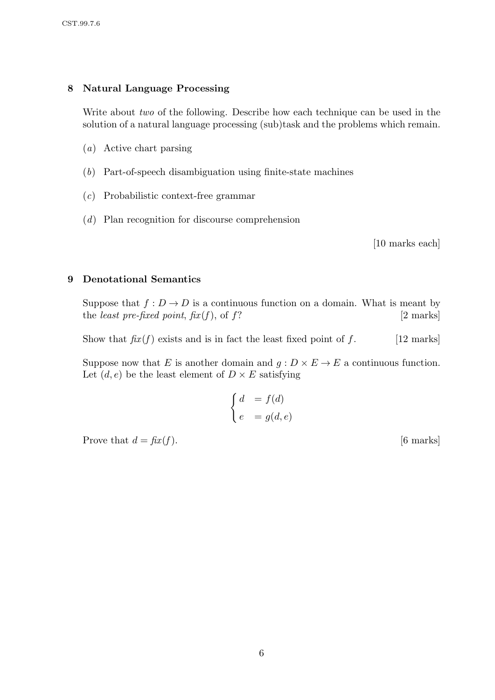### 8 Natural Language Processing

Write about *two* of the following. Describe how each technique can be used in the solution of a natural language processing (sub)task and the problems which remain.

- (a) Active chart parsing
- (b) Part-of-speech disambiguation using finite-state machines
- (c) Probabilistic context-free grammar
- (d) Plan recognition for discourse comprehension

[10 marks each]

#### 9 Denotational Semantics

Suppose that  $f: D \to D$  is a continuous function on a domain. What is meant by the *least pre-fixed point*,  $\hat{f}x(f)$ , of f? [2 marks]

Show that  $\hat{f}xx(f)$  exists and is in fact the least fixed point of f. [12 marks]

Suppose now that E is another domain and  $q: D \times E \to E$  a continuous function. Let  $(d, e)$  be the least element of  $D \times E$  satisfying

$$
\begin{cases}\nd &= f(d) \\
e &= g(d, e)\n\end{cases}
$$

Prove that  $d = \text{fix}(f)$ . [6 marks]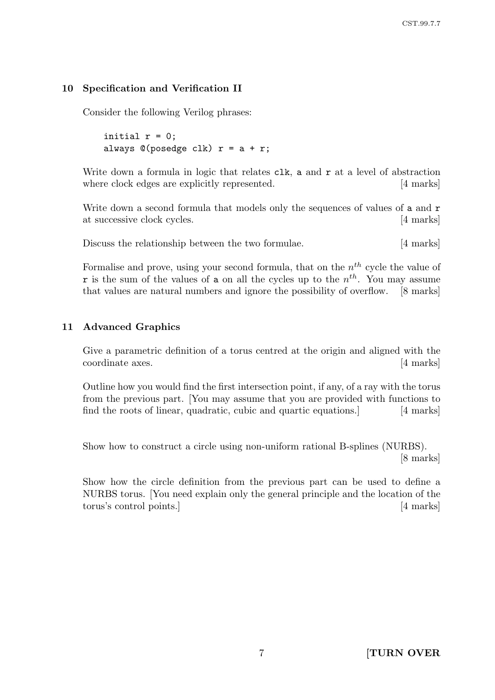## 10 Specification and Verification II

Consider the following Verilog phrases:

initial  $r = 0$ ; always  $\mathbb{O}(\text{posedge } \text{clk})$   $r = a + r$ ;

Write down a formula in logic that relates  $\mathsf{clk}$ , a and  $\mathsf{r}$  at a level of abstraction where clock edges are explicitly represented. [4 marks]

Write down a second formula that models only the sequences of values of a and r at successive clock cycles. [4 marks]

Discuss the relationship between the two formulae. [4 marks]

Formalise and prove, using your second formula, that on the  $n^{th}$  cycle the value of **r** is the sum of the values of **a** on all the cycles up to the  $n^{th}$ . You may assume that values are natural numbers and ignore the possibility of overflow. [8 marks]

## 11 Advanced Graphics

Give a parametric definition of a torus centred at the origin and aligned with the coordinate axes. [4 marks]

Outline how you would find the first intersection point, if any, of a ray with the torus from the previous part. [You may assume that you are provided with functions to find the roots of linear, quadratic, cubic and quartic equations.] [4 marks]

Show how to construct a circle using non-uniform rational B-splines (NURBS). [8 marks]

Show how the circle definition from the previous part can be used to define a NURBS torus. [You need explain only the general principle and the location of the torus's control points.] [4 marks]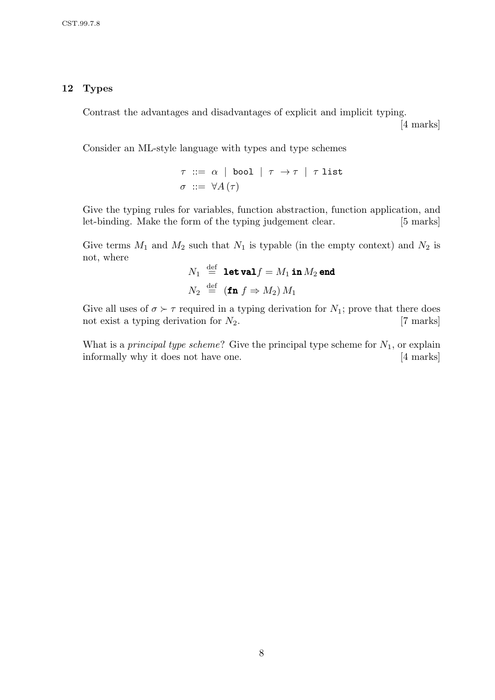#### 12 Types

Contrast the advantages and disadvantages of explicit and implicit typing.

[4 marks]

Consider an ML-style language with types and type schemes

$$
\tau ::= \alpha \mid \text{bool} \mid \tau \to \tau \mid \tau \text{ list}
$$

$$
\sigma ::= \forall A(\tau)
$$

Give the typing rules for variables, function abstraction, function application, and let-binding. Make the form of the typing judgement clear. [5 marks]

Give terms  $M_1$  and  $M_2$  such that  $N_1$  is typable (in the empty context) and  $N_2$  is not, where

$$
N_1 \stackrel{\text{def}}{=} \text{let val } f = M_1 \text{ in } M_2 \text{ end}
$$
  

$$
N_2 \stackrel{\text{def}}{=} (\text{fn } f \Rightarrow M_2) M_1
$$

Give all uses of  $\sigma \succ \tau$  required in a typing derivation for  $N_1$ ; prove that there does not exist a typing derivation for  $N_2$ . [7 marks]

What is a *principal type scheme*? Give the principal type scheme for  $N_1$ , or explain informally why it does not have one. [4 marks]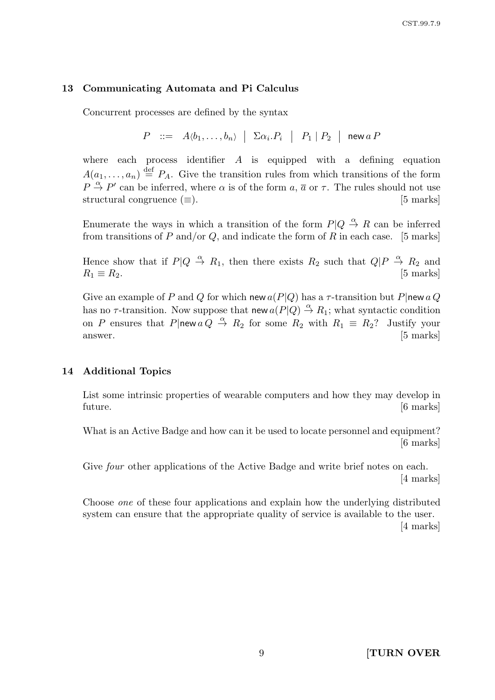#### 13 Communicating Automata and Pi Calculus

Concurrent processes are defined by the syntax

$$
P \ ::= \ A \langle b_1, \ldots, b_n \rangle \ \Big| \ \Sigma \alpha_i.P_i \ \Big| \ P_1 \ | \ P_2 \ \Big| \ \mathsf{new} \ a \ P
$$

where each process identifier  $A$  is equipped with a defining equation  $A(a_1,\ldots,a_n) \stackrel{\text{def}}{=} P_A$ . Give the transition rules from which transitions of the form  $P \stackrel{\alpha}{\rightarrow} P'$  can be inferred, where  $\alpha$  is of the form  $a, \overline{a}$  or  $\tau$ . The rules should not use structural congruence  $(\equiv)$ . [5 marks]

Enumerate the ways in which a transition of the form  $P|Q \stackrel{\alpha}{\to} R$  can be inferred from transitions of P and/or Q, and indicate the form of R in each case. [5 marks]

Hence show that if  $P|Q \stackrel{\alpha}{\to} R_1$ , then there exists  $R_2$  such that  $Q|P \stackrel{\alpha}{\to} R_2$  and  $R_1 \equiv R_2.$  [5 marks]

Give an example of P and Q for which new  $a(P|Q)$  has a  $\tau$ -transition but P|new a Q has no  $\tau$ -transition. Now suppose that new  $a(P|Q) \stackrel{\alpha}{\rightarrow} R_1$ ; what syntactic condition on P ensures that P|new  $a Q \stackrel{\alpha}{\rightarrow} R_2$  for some  $R_2$  with  $R_1 \equiv R_2$ ? Justify your answer. [5 marks]

#### 14 Additional Topics

List some intrinsic properties of wearable computers and how they may develop in future. [6 marks]

What is an Active Badge and how can it be used to locate personnel and equipment? [6 marks]

Give *four* other applications of the Active Badge and write brief notes on each. [4 marks]

Choose one of these four applications and explain how the underlying distributed system can ensure that the appropriate quality of service is available to the user. [4 marks]